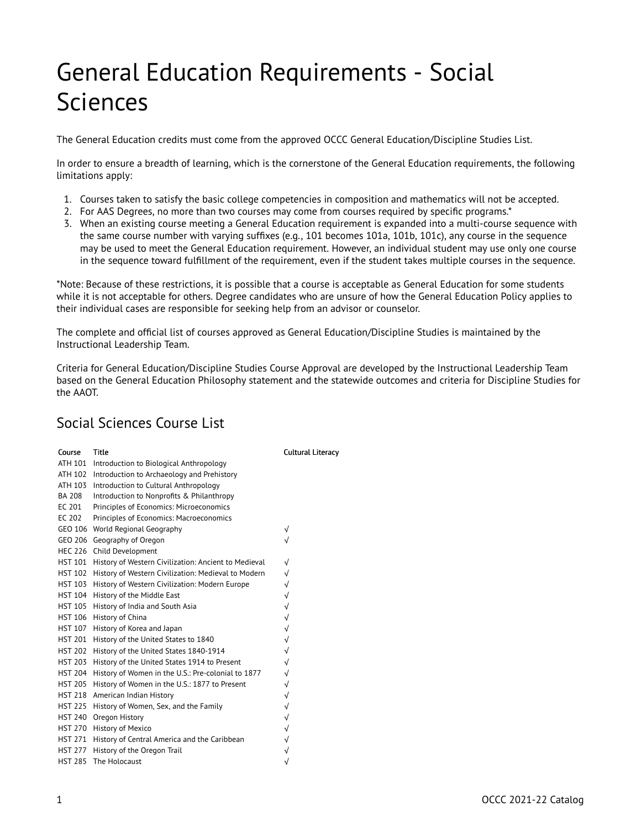## General Education Requirements - Social Sciences

The General Education credits must come from the approved OCCC General Education/Discipline Studies List.

In order to ensure a breadth of learning, which is the cornerstone of the General Education requirements, the following limitations apply:

- 1. Courses taken to satisfy the basic college competencies in composition and mathematics will not be accepted.
- 2. For AAS Degrees, no more than two courses may come from courses required by specific programs.\*
- 3. When an existing course meeting a General Education requirement is expanded into a multi-course sequence with the same course number with varying suffixes (e.g., 101 becomes 101a, 101b, 101c), any course in the sequence may be used to meet the General Education requirement. However, an individual student may use only one course in the sequence toward fulfillment of the requirement, even if the student takes multiple courses in the sequence.

\*Note: Because of these restrictions, it is possible that a course is acceptable as General Education for some students while it is not acceptable for others. Degree candidates who are unsure of how the General Education Policy applies to their individual cases are responsible for seeking help from an advisor or counselor.

The complete and official list of courses approved as General Education/Discipline Studies is maintained by the Instructional Leadership Team.

Criteria for General Education/Discipline Studies Course Approval are developed by the Instructional Leadership Team based on the General Education Philosophy statement and the statewide outcomes and criteria for Discipline Studies for the AAOT.

## Social Sciences Course List

| Course         | Title                                                | Cı           |
|----------------|------------------------------------------------------|--------------|
| ATH 101        | Introduction to Biological Anthropology              |              |
| ATH 102        | Introduction to Archaeology and Prehistory           |              |
| ATH 103        | Introduction to Cultural Anthropology                |              |
| <b>BA 208</b>  | Introduction to Nonprofits & Philanthropy            |              |
| EC 201         | Principles of Economics: Microeconomics              |              |
| EC 202         | Principles of Economics: Macroeconomics              |              |
| GEO 106        | World Regional Geography                             | √            |
| GEO 206        | Geography of Oregon                                  | √            |
| <b>HEC 226</b> | Child Development                                    |              |
| <b>HST 101</b> | History of Western Civilization: Ancient to Medieval | $\sqrt{}$    |
| <b>HST 102</b> | History of Western Civilization: Medieval to Modern  | $\sqrt{}$    |
| <b>HST 103</b> | History of Western Civilization: Modern Europe       | $\sqrt{}$    |
| <b>HST 104</b> | History of the Middle East                           | $\sqrt{2}$   |
| <b>HST 105</b> | History of India and South Asia                      | $\checkmark$ |
| <b>HST 106</b> | History of China                                     | $\sqrt{}$    |
| <b>HST 107</b> | History of Korea and Japan                           | $\sqrt{}$    |
| <b>HST 201</b> | History of the United States to 1840                 | $\sqrt{}$    |
| <b>HST 202</b> | History of the United States 1840-1914               | $\sqrt{}$    |
| <b>HST 203</b> | History of the United States 1914 to Present         | √            |
| <b>HST 204</b> | History of Women in the U.S.: Pre-colonial to 1877   | $\sqrt{}$    |
| <b>HST 205</b> | History of Women in the U.S.: 1877 to Present        | $\sqrt{}$    |
| <b>HST 218</b> | American Indian History                              | $\sqrt{}$    |
| <b>HST 225</b> | History of Women, Sex, and the Family                | $\sqrt{}$    |
| <b>HST 240</b> | Oregon History                                       | $\sqrt{}$    |
| <b>HST 270</b> | History of Mexico                                    | $\sqrt{}$    |
| <b>HST 271</b> | History of Central America and the Caribbean         | $\sqrt{}$    |
| <b>HST 277</b> | History of the Oregon Trail                          | $\sqrt{}$    |
| <b>HST 285</b> | The Holocaust                                        | √            |

## ultural Literacy